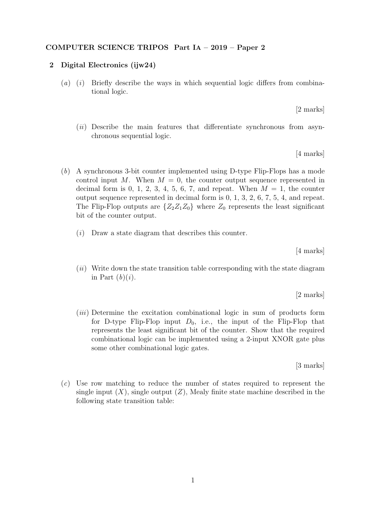## COMPUTER SCIENCE TRIPOS Part IA – 2019 – Paper 2

## 2 Digital Electronics (ijw24)

(a) (i) Briefly describe the ways in which sequential logic differs from combinational logic.

[2 marks]

 $(ii)$  Describe the main features that differentiate synchronous from asynchronous sequential logic.

[4 marks]

- (b) A synchronous 3-bit counter implemented using D-type Flip-Flops has a mode control input M. When  $M = 0$ , the counter output sequence represented in decimal form is 0, 1, 2, 3, 4, 5, 6, 7, and repeat. When  $M = 1$ , the counter output sequence represented in decimal form is 0, 1, 3, 2, 6, 7, 5, 4, and repeat. The Flip-Flop outputs are  $\{Z_2Z_1Z_0\}$  where  $Z_0$  represents the least significant bit of the counter output.
	- $(i)$  Draw a state diagram that describes this counter.

[4 marks]

 $(ii)$  Write down the state transition table corresponding with the state diagram in Part  $(b)(i)$ .

[2 marks]

(iii) Determine the excitation combinational logic in sum of products form for D-type Flip-Flop input  $D_0$ , i.e., the input of the Flip-Flop that represents the least significant bit of the counter. Show that the required combinational logic can be implemented using a 2-input XNOR gate plus some other combinational logic gates.

[3 marks]

(c) Use row matching to reduce the number of states required to represent the single input  $(X)$ , single output  $(Z)$ , Mealy finite state machine described in the following state transition table: